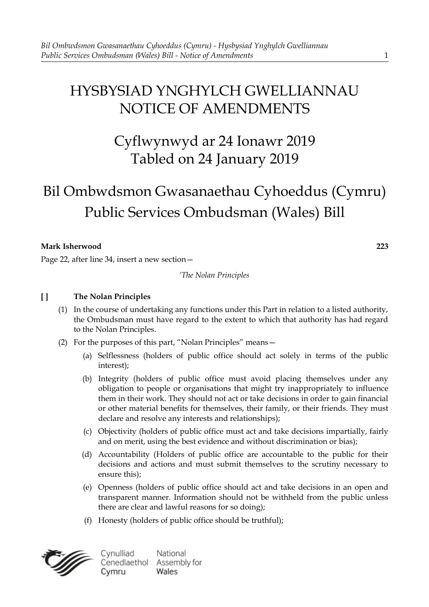# HYSBYSIAD YNGHYLCH GWELLIANNAU NOTICE OF AMENDMENTS

# Cyflwynwyd ar 24 Ionawr 2019 Tabled on 24 January 2019

# Bil Ombwdsmon Gwasanaethau Cyhoeddus (Cymru) Public Services Ombudsman (Wales) Bill

**Mark Isherwood 223**

Page 22, after line 34, insert a new section—

*'The Nolan Principles*

# **[ ] The Nolan Principles**

- (1) In the course of undertaking any functions under this Part in relation to a listed authority, the Ombudsman must have regard to the extent to which that authority has had regard to the Nolan Principles.
- (2) For the purposes of this part, "Nolan Principles" means—
	- (a) Selflessness (holders of public office should act solely in terms of the public interest);
	- (b) Integrity (holders of public office must avoid placing themselves under any obligation to people or organisations that might try inappropriately to influence them in their work. They should not act or take decisions in order to gain financial or other material benefits for themselves, their family, or their friends. They must declare and resolve any interests and relationships);
	- (c) Objectivity (holders of public office must act and take decisions impartially, fairly and on merit, using the best evidence and without discrimination or bias);
	- (d) Accountability (Holders of public office are accountable to the public for their decisions and actions and must submit themselves to the scrutiny necessary to ensure this);
	- (e) Openness (holders of public office should act and take decisions in an open and transparent manner. Information should not be withheld from the public unless there are clear and lawful reasons for so doing);
	- (f) Honesty (holders of public office should be truthful);



Cynulliad National Cenedlaethol Assembly for Cymru Wales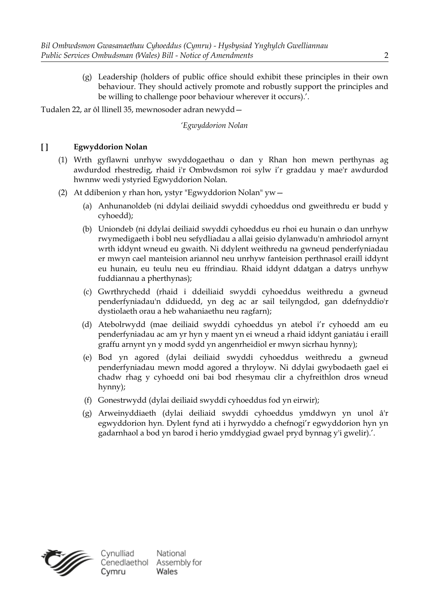(g) Leadership (holders of public office should exhibit these principles in their own behaviour. They should actively promote and robustly support the principles and be willing to challenge poor behaviour wherever it occurs).'.

Tudalen 22, ar ôl llinell 35, mewnosoder adran newydd—

*'Egwyddorion Nolan*

# **[ ] Egwyddorion Nolan**

- (1) Wrth gyflawni unrhyw swyddogaethau o dan y Rhan hon mewn perthynas ag awdurdod rhestredig, rhaid i'r Ombwdsmon roi sylw i'r graddau y mae'r awdurdod hwnnw wedi ystyried Egwyddorion Nolan.
- (2) At ddibenion y rhan hon, ystyr "Egwyddorion Nolan" yw—
	- (a) Anhunanoldeb (ni ddylai deiliaid swyddi cyhoeddus ond gweithredu er budd y cyhoedd);
	- (b) Uniondeb (ni ddylai deiliaid swyddi cyhoeddus eu rhoi eu hunain o dan unrhyw rwymedigaeth i bobl neu sefydliadau a allai geisio dylanwadu'n amhriodol arnynt wrth iddynt wneud eu gwaith. Ni ddylent weithredu na gwneud penderfyniadau er mwyn cael manteision ariannol neu unrhyw fanteision perthnasol eraill iddynt eu hunain, eu teulu neu eu ffrindiau. Rhaid iddynt ddatgan a datrys unrhyw fuddiannau a pherthynas);
	- (c) Gwrthrychedd (rhaid i ddeiliaid swyddi cyhoeddus weithredu a gwneud penderfyniadau'n ddiduedd, yn deg ac ar sail teilyngdod, gan ddefnyddio'r dystiolaeth orau a heb wahaniaethu neu ragfarn);
	- (d) Atebolrwydd (mae deiliaid swyddi cyhoeddus yn atebol i'r cyhoedd am eu penderfyniadau ac am yr hyn y maent yn ei wneud a rhaid iddynt ganiatáu i eraill graffu arnynt yn y modd sydd yn angenrheidiol er mwyn sicrhau hynny);
	- (e) Bod yn agored (dylai deiliaid swyddi cyhoeddus weithredu a gwneud penderfyniadau mewn modd agored a thryloyw. Ni ddylai gwybodaeth gael ei chadw rhag y cyhoedd oni bai bod rhesymau clir a chyfreithlon dros wneud hynny);
	- (f) Gonestrwydd (dylai deiliaid swyddi cyhoeddus fod yn eirwir);
	- (g) Arweinyddiaeth (dylai deiliaid swyddi cyhoeddus ymddwyn yn unol â'r egwyddorion hyn. Dylent fynd ati i hyrwyddo a chefnogi'r egwyddorion hyn yn gadarnhaol a bod yn barod i herio ymddygiad gwael pryd bynnag y'i gwelir).'.

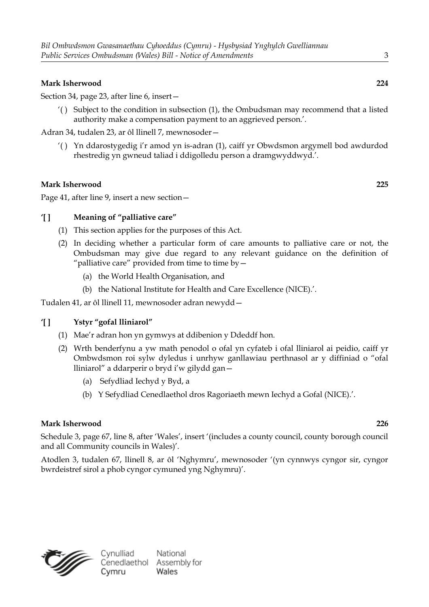#### **Mark Isherwood 224**

Section 34, page 23, after line 6, insert—

'( ) Subject to the condition in subsection (1), the Ombudsman may recommend that a listed authority make a compensation payment to an aggrieved person.'.

Adran 34, tudalen 23, ar ôl llinell 7, mewnosoder—

'( ) Yn ddarostygedig i'r amod yn is-adran (1), caiff yr Obwdsmon argymell bod awdurdod rhestredig yn gwneud taliad i ddigolledu person a dramgwyddwyd.'.

#### **Mark Isherwood 225**

Page 41, after line 9, insert a new section—

### **'[ ] Meaning of "palliative care"**

- (1) This section applies for the purposes of this Act.
- (2) In deciding whether a particular form of care amounts to palliative care or not, the Ombudsman may give due regard to any relevant guidance on the definition of "palliative care" provided from time to time by—
	- (a) the World Health Organisation, and
	- (b) the National Institute for Health and Care Excellence (NICE).'.

Tudalen 41, ar ôl llinell 11, mewnosoder adran newydd—

#### **'[ ] Ystyr "gofal lliniarol"**

- (1) Mae'r adran hon yn gymwys at ddibenion y Ddeddf hon.
- (2) Wrth benderfynu a yw math penodol o ofal yn cyfateb i ofal lliniarol ai peidio, caiff yr Ombwdsmon roi sylw dyledus i unrhyw ganllawiau perthnasol ar y diffiniad o "ofal lliniarol" a ddarperir o bryd i'w gilydd gan—
	- (a) Sefydliad Iechyd y Byd, a
	- (b) Y Sefydliad Cenedlaethol dros Ragoriaeth mewn Iechyd a Gofal (NICE).'.

#### **Mark Isherwood 226**

Schedule 3, page 67, line 8, after 'Wales', insert '(includes a county council, county borough council and all Community councils in Wales)'.

Atodlen 3, tudalen 67, llinell 8, ar ôl 'Nghymru', mewnosoder '(yn cynnwys cyngor sir, cyngor bwrdeistref sirol a phob cyngor cymuned yng Nghymru)'.

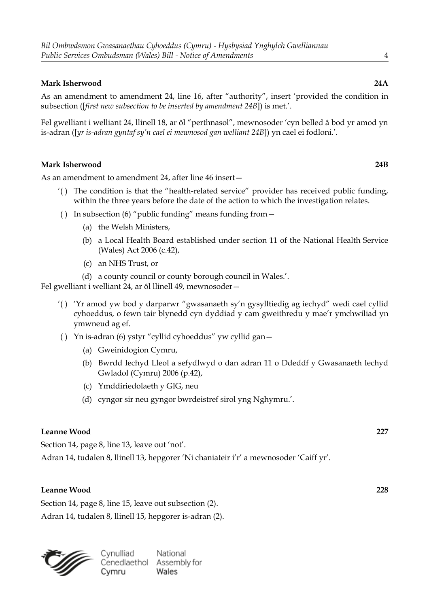### **Mark Isherwood 24A**

As an amendment to amendment 24, line 16, after "authority", insert 'provided the condition in subsection ([*first new subsection to be inserted by amendment 24B*]) is met.'.

Fel gwelliant i welliant 24, llinell 18, ar ôl "perthnasol", mewnosoder 'cyn belled â bod yr amod yn is-adran ([*yr is-adran gyntaf sy'n cael ei mewnosod gan welliant 24B*]) yn cael ei fodloni.'.

#### **Mark Isherwood 24B**

As an amendment to amendment 24, after line 46 insert—

- '( ) The condition is that the "health-related service" provider has received public funding, within the three years before the date of the action to which the investigation relates.
- ( ) In subsection (6) "public funding" means funding from—
	- (a) the Welsh Ministers,
	- (b) a Local Health Board established under section 11 of the National Health Service (Wales) Act 2006 (c.42),
	- (c) an NHS Trust, or
	- (d) a county council or county borough council in Wales.'.

Fel gwelliant i welliant 24, ar ôl llinell 49, mewnosoder—

- '( ) 'Yr amod yw bod y darparwr "gwasanaeth sy'n gysylltiedig ag iechyd" wedi cael cyllid cyhoeddus, o fewn tair blynedd cyn dyddiad y cam gweithredu y mae'r ymchwiliad yn ymwneud ag ef.
- ( ) Yn is-adran (6) ystyr "cyllid cyhoeddus" yw cyllid gan—
	- (a) Gweinidogion Cymru,
	- (b) Bwrdd Iechyd Lleol a sefydlwyd o dan adran 11 o Ddeddf y Gwasanaeth Iechyd Gwladol (Cymru) 2006 (p.42),
	- (c) Ymddiriedolaeth y GIG, neu
	- (d) cyngor sir neu gyngor bwrdeistref sirol yng Nghymru.'.

#### **Leanne Wood 227**

Section 14, page 8, line 13, leave out 'not'.

Adran 14, tudalen 8, llinell 13, hepgorer 'Ni chaniateir i'r' a mewnosoder 'Caiff yr'.

#### **Leanne Wood 228**

Section 14, page 8, line 15, leave out subsection (2). Adran 14, tudalen 8, llinell 15, hepgorer is-adran (2).

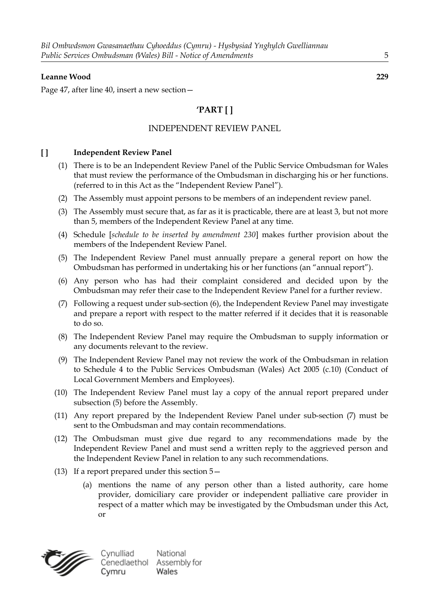#### **Leanne Wood 229**

Page 47, after line 40, insert a new section—

# **'PART [ ]**

## INDEPENDENT REVIEW PANEL

#### **[ ] Independent Review Panel**

- (1) There is to be an Independent Review Panel of the Public Service Ombudsman for Wales that must review the performance of the Ombudsman in discharging his or her functions. (referred to in this Act as the "Independent Review Panel").
- (2) The Assembly must appoint persons to be members of an independent review panel.
- (3) The Assembly must secure that, as far as it is practicable, there are at least 3, but not more than 5, members of the Independent Review Panel at any time.
- (4) Schedule [*schedule to be inserted by amendment 230*] makes further provision about the members of the Independent Review Panel.
- (5) The Independent Review Panel must annually prepare a general report on how the Ombudsman has performed in undertaking his or her functions (an "annual report").
- (6) Any person who has had their complaint considered and decided upon by the Ombudsman may refer their case to the Independent Review Panel for a further review.
- (7) Following a request under sub-section (6), the Independent Review Panel may investigate and prepare a report with respect to the matter referred if it decides that it is reasonable to do so.
- (8) The Independent Review Panel may require the Ombudsman to supply information or any documents relevant to the review.
- (9) The Independent Review Panel may not review the work of the Ombudsman in relation to Schedule 4 to the Public Services Ombudsman (Wales) Act 2005 (c.10) (Conduct of Local Government Members and Employees).
- (10) The Independent Review Panel must lay a copy of the annual report prepared under subsection (5) before the Assembly.
- (11) Any report prepared by the Independent Review Panel under sub-section (7) must be sent to the Ombudsman and may contain recommendations.
- (12) The Ombudsman must give due regard to any recommendations made by the Independent Review Panel and must send a written reply to the aggrieved person and the Independent Review Panel in relation to any such recommendations.
- (13) If a report prepared under this section 5—
	- (a) mentions the name of any person other than a listed authority, care home provider, domiciliary care provider or independent palliative care provider in respect of a matter which may be investigated by the Ombudsman under this Act, or



Cynulliad National Cenedlaethol Assembly for Wales Cymru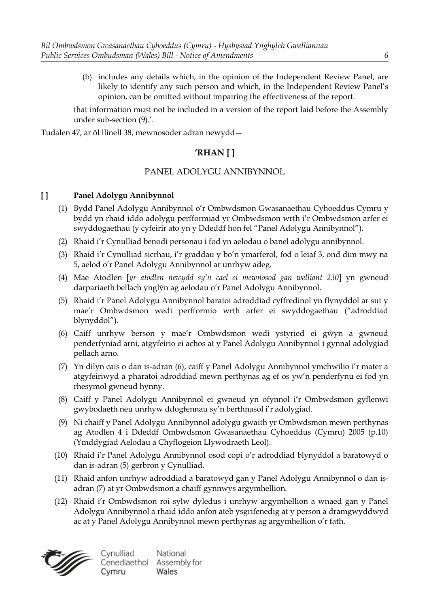(b) includes any details which, in the opinion of the Independent Review Panel, are likely to identify any such person and which, in the Independent Review Panel's opinion, can be omitted without impairing the effectiveness of the report.

that information must not be included in a version of the report laid before the Assembly under sub-section (9).'.

Tudalen 47, ar ôl llinell 38, mewnosoder adran newydd—

# **'RHAN [ ]**

# PANEL ADOLYGU ANNIBYNNOL

### **[ ] Panel Adolygu Annibynnol**

- (1) Bydd Panel Adolygu Annibynnol o'r Ombwdsmon Gwasanaethau Cyhoeddus Cymru y bydd yn rhaid iddo adolygu perfformiad yr Ombwdsmon wrth i'r Ombwdsmon arfer ei swyddogaethau (y cyfeirir ato yn y Ddeddf hon fel "Panel Adolygu Annibynnol").
- (2) Rhaid i'r Cynulliad benodi personau i fod yn aelodau o banel adolygu annibynnol.
- (3) Rhaid i'r Cynulliad sicrhau, i'r graddau y bo'n ymarferol, fod o leiaf 3, ond dim mwy na 5, aelod o'r Panel Adolygu Annibynnol ar unrhyw adeg.
- (4) Mae Atodlen [*yr atodlen newydd sy'n cael ei mewnosod gan welliant 230*] yn gwneud darpariaeth bellach ynglŷn ag aelodau o'r Panel Adolygu Annibynnol.
- (5) Rhaid i'r Panel Adolygu Annibynnol baratoi adroddiad cyffredinol yn flynyddol ar sut y mae'r Ombwdsmon wedi perfformio wrth arfer ei swyddogaethau ("adroddiad blynyddol").
- (6) Caiff unrhyw berson y mae'r Ombwdsmon wedi ystyried ei gŵyn a gwneud penderfyniad arni, atgyfeirio ei achos at y Panel Adolygu Annibynnol i gynnal adolygiad pellach arno.
- (7) Yn dilyn cais o dan is-adran (6), caiff y Panel Adolygu Annibynnol ymchwilio i'r mater a atgyfeiriwyd a pharatoi adroddiad mewn perthynas ag ef os yw'n penderfynu ei fod yn rhesymol gwneud hynny.
- (8) Caiff y Panel Adolygu Annibynnol ei gwneud yn ofynnol i'r Ombwdsmon gyflenwi gwybodaeth neu unrhyw ddogfennau sy'n berthnasol i'r adolygiad.
- (9) Ni chaiff y Panel Adolygu Annibynnol adolygu gwaith yr Ombwdsmon mewn perthynas ag Atodlen 4 i Ddeddf Ombwdsmon Gwasanaethau Cyhoeddus (Cymru) 2005 (p.10) (Ymddygiad Aelodau a Chyflogeion Llywodraeth Leol).
- (10) Rhaid i'r Panel Adolygu Annibynnol osod copi o'r adroddiad blynyddol a baratowyd o dan is-adran (5) gerbron y Cynulliad.
- (11) Rhaid anfon unrhyw adroddiad a baratowyd gan y Panel Adolygu Annibynnol o dan isadran (7) at yr Ombwdsmon a chaiff gynnwys argymhellion.
- (12) Rhaid i'r Ombwdsmon roi sylw dyledus i unrhyw argymhellion a wnaed gan y Panel Adolygu Annibynnol a rhaid iddo anfon ateb ysgrifenedig at y person a dramgwyddwyd ac at y Panel Adolygu Annibynnol mewn perthynas ag argymhellion o'r fath.



Cynulliad National Cenedlaethol Assembly for Wales Cymru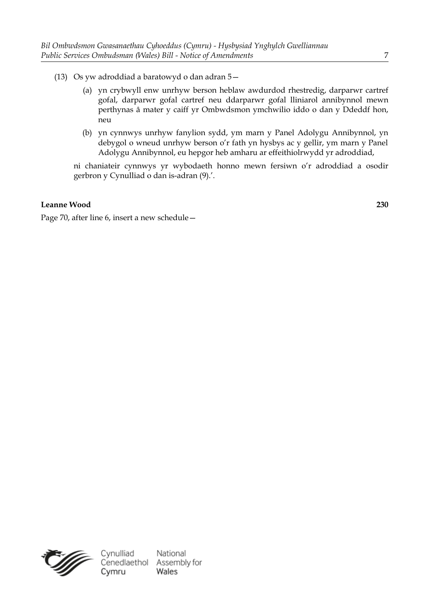- (13) Os yw adroddiad a baratowyd o dan adran 5—
	- (a) yn crybwyll enw unrhyw berson heblaw awdurdod rhestredig, darparwr cartref gofal, darparwr gofal cartref neu ddarparwr gofal lliniarol annibynnol mewn perthynas â mater y caiff yr Ombwdsmon ymchwilio iddo o dan y Ddeddf hon, neu
	- (b) yn cynnwys unrhyw fanylion sydd, ym marn y Panel Adolygu Annibynnol, yn debygol o wneud unrhyw berson o'r fath yn hysbys ac y gellir, ym marn y Panel Adolygu Annibynnol, eu hepgor heb amharu ar effeithiolrwydd yr adroddiad,

ni chaniateir cynnwys yr wybodaeth honno mewn fersiwn o'r adroddiad a osodir gerbron y Cynulliad o dan is-adran (9).'.

# **Leanne Wood 230**

Page 70, after line 6, insert a new schedule—

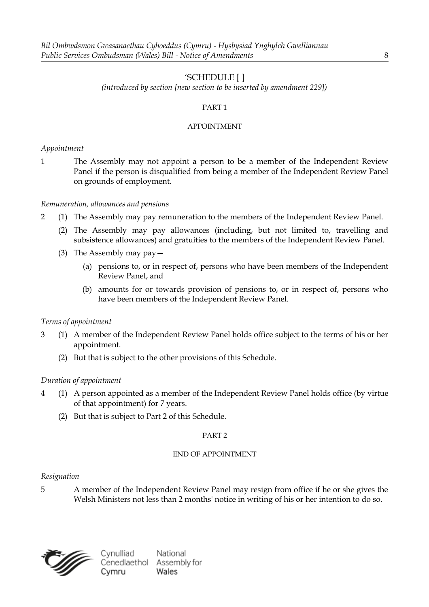# 'SCHEDULE [ ]

*(introduced by section [new section to be inserted by amendment 229])*

#### PART 1

#### APPOINTMENT

#### *Appointment*

1 The Assembly may not appoint a person to be a member of the Independent Review Panel if the person is disqualified from being a member of the Independent Review Panel on grounds of employment.

#### *Remuneration, allowances and pensions*

- 2 (1) The Assembly may pay remuneration to the members of the Independent Review Panel.
	- (2) The Assembly may pay allowances (including, but not limited to, travelling and subsistence allowances) and gratuities to the members of the Independent Review Panel.
	- (3) The Assembly may pay—
		- (a) pensions to, or in respect of, persons who have been members of the Independent Review Panel, and
		- (b) amounts for or towards provision of pensions to, or in respect of, persons who have been members of the Independent Review Panel.

#### *Terms of appointment*

- 3 (1) A member of the Independent Review Panel holds office subject to the terms of his or her appointment.
	- (2) But that is subject to the other provisions of this Schedule.

#### *Duration of appointment*

- 4 (1) A person appointed as a member of the Independent Review Panel holds office (by virtue of that appointment) for 7 years.
	- (2) But that is subject to Part 2 of this Schedule.

#### PART 2

#### END OF APPOINTMENT

#### *Resignation*

5 A member of the Independent Review Panel may resign from office if he or she gives the Welsh Ministers not less than 2 months' notice in writing of his or her intention to do so.

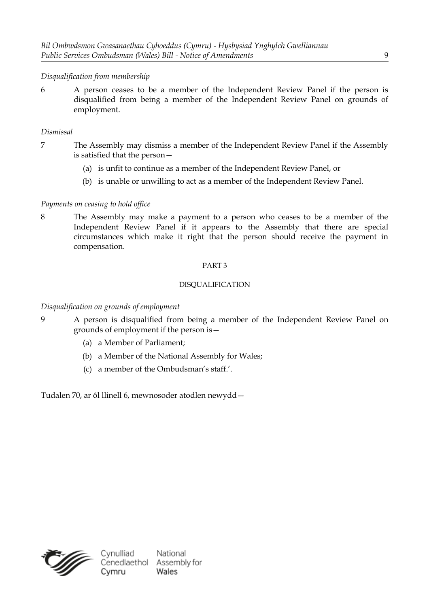## *Disqualification from membership*

6 A person ceases to be a member of the Independent Review Panel if the person is disqualified from being a member of the Independent Review Panel on grounds of employment.

#### *Dismissal*

- 7 The Assembly may dismiss a member of the Independent Review Panel if the Assembly is satisfied that the person—
	- (a) is unfit to continue as a member of the Independent Review Panel, or
	- (b) is unable or unwilling to act as a member of the Independent Review Panel.

#### *Payments on ceasing to hold office*

8 The Assembly may make a payment to a person who ceases to be a member of the Independent Review Panel if it appears to the Assembly that there are special circumstances which make it right that the person should receive the payment in compensation.

#### PART 3

#### DISQUALIFICATION

#### *Disqualification on grounds of employment*

- 9 A person is disqualified from being a member of the Independent Review Panel on grounds of employment if the person is—
	- (a) a Member of Parliament;
	- (b) a Member of the National Assembly for Wales;
	- (c) a member of the Ombudsman's staff.'.

Tudalen 70, ar ôl llinell 6, mewnosoder atodlen newydd—

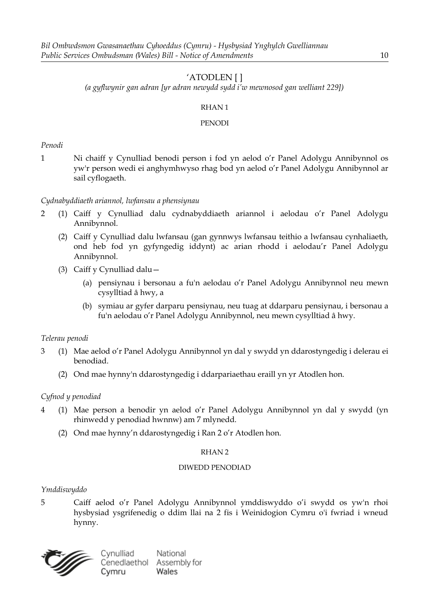# 'ATODLEN [ ]

*(a gyflwynir gan adran [yr adran newydd sydd i'w mewnosod gan welliant 229])*

#### RHAN 1

#### PENODI

*Penodi*

1 Ni chaiff y Cynulliad benodi person i fod yn aelod o'r Panel Adolygu Annibynnol os yw'r person wedi ei anghymhwyso rhag bod yn aelod o'r Panel Adolygu Annibynnol ar sail cyflogaeth.

### *Cydnabyddiaeth ariannol, lwfansau a phensiynau*

- 2 (1) Caiff y Cynulliad dalu cydnabyddiaeth ariannol i aelodau o'r Panel Adolygu Annibynnol.
	- (2) Caiff y Cynulliad dalu lwfansau (gan gynnwys lwfansau teithio a lwfansau cynhaliaeth, ond heb fod yn gyfyngedig iddynt) ac arian rhodd i aelodau'r Panel Adolygu Annibynnol.
	- (3) Caiff y Cynulliad dalu—
		- (a) pensiynau i bersonau a fu'n aelodau o'r Panel Adolygu Annibynnol neu mewn cysylltiad â hwy, a
		- (b) symiau ar gyfer darparu pensiynau, neu tuag at ddarparu pensiynau, i bersonau a fu'n aelodau o'r Panel Adolygu Annibynnol, neu mewn cysylltiad â hwy.

# *Telerau penodi*

- 3 (1) Mae aelod o'r Panel Adolygu Annibynnol yn dal y swydd yn ddarostyngedig i delerau ei benodiad.
	- (2) Ond mae hynny'n ddarostyngedig i ddarpariaethau eraill yn yr Atodlen hon.

# *Cyfnod y penodiad*

- 4 (1) Mae person a benodir yn aelod o'r Panel Adolygu Annibynnol yn dal y swydd (yn rhinwedd y penodiad hwnnw) am 7 mlynedd.
	- (2) Ond mae hynny'n ddarostyngedig i Ran 2 o'r Atodlen hon.

#### RHAN 2

#### DIWEDD PENODIAD

#### *Ymddiswyddo*

5 Caiff aelod o'r Panel Adolygu Annibynnol ymddiswyddo o'i swydd os yw'n rhoi hysbysiad ysgrifenedig o ddim llai na 2 fis i Weinidogion Cymru o'i fwriad i wneud hynny.